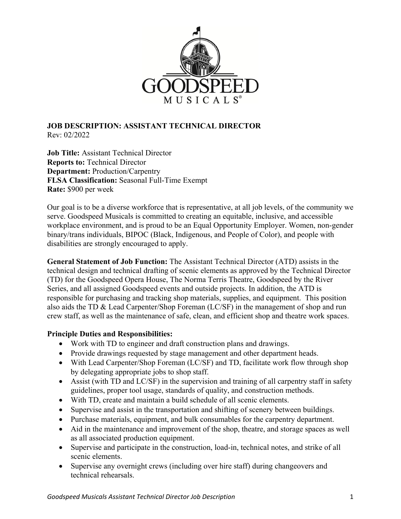

## **JOB DESCRIPTION: ASSISTANT TECHNICAL DIRECTOR**  Rev: 02/2022

**Job Title:** Assistant Technical Director **Reports to:** Technical Director **Department:** Production/Carpentry **FLSA Classification:** Seasonal Full-Time Exempt **Rate:** \$900 per week

Our goal is to be a diverse workforce that is representative, at all job levels, of the community we serve. Goodspeed Musicals is committed to creating an equitable, inclusive, and accessible workplace environment, and is proud to be an Equal Opportunity Employer. Women, non-gender binary/trans individuals, BIPOC (Black, Indigenous, and People of Color), and people with disabilities are strongly encouraged to apply.

**General Statement of Job Function:** The Assistant Technical Director (ATD) assists in the technical design and technical drafting of scenic elements as approved by the Technical Director (TD) for the Goodspeed Opera House, The Norma Terris Theatre, Goodspeed by the River Series, and all assigned Goodspeed events and outside projects. In addition, the ATD is responsible for purchasing and tracking shop materials, supplies, and equipment. This position also aids the TD & Lead Carpenter/Shop Foreman (LC/SF) in the management of shop and run crew staff, as well as the maintenance of safe, clean, and efficient shop and theatre work spaces.

## **Principle Duties and Responsibilities:**

- Work with TD to engineer and draft construction plans and drawings.
- Provide drawings requested by stage management and other department heads.
- With Lead Carpenter/Shop Foreman (LC/SF) and TD, facilitate work flow through shop by delegating appropriate jobs to shop staff.
- Assist (with TD and LC/SF) in the supervision and training of all carpentry staff in safety guidelines, proper tool usage, standards of quality, and construction methods.
- With TD, create and maintain a build schedule of all scenic elements.
- Supervise and assist in the transportation and shifting of scenery between buildings.
- Purchase materials, equipment, and bulk consumables for the carpentry department.
- Aid in the maintenance and improvement of the shop, theatre, and storage spaces as well as all associated production equipment.
- Supervise and participate in the construction, load-in, technical notes, and strike of all scenic elements.
- Supervise any overnight crews (including over hire staff) during changeovers and technical rehearsals.